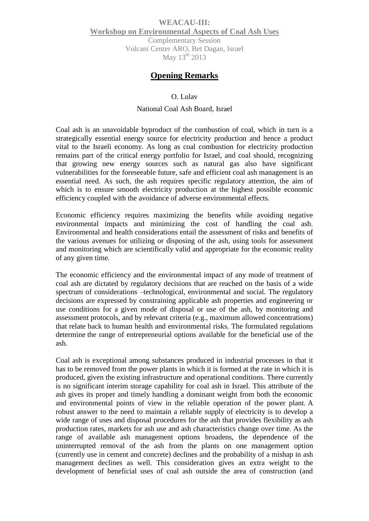## **WEACAU-III: Workshop on Environmental Aspects of Coal Ash Uses** Complementary Session Volcani Center ARO, Bet Dagan, Israel May  $13<sup>th</sup>$  2013

# **Opening Remarks**

#### O. Lulav

### National Coal Ash Board, Israel

Coal ash is an unavoidable byproduct of the combustion of coal, which in turn is a strategically essential energy source for electricity production and hence a product vital to the Israeli economy. As long as coal combustion for electricity production remains part of the critical energy portfolio for Israel, and coal should, recognizing that growing new energy sources such as natural gas also have significant vulnerabilities for the foreseeable future, safe and efficient coal ash management is an essential need. As such, the ash requires specific regulatory attention, the aim of which is to ensure smooth electricity production at the highest possible economic efficiency coupled with the avoidance of adverse environmental effects.

Economic efficiency requires maximizing the benefits while avoiding negative environmental impacts and minimizing the cost of handling the coal ash. Environmental and health considerations entail the assessment of risks and benefits of the various avenues for utilizing or disposing of the ash, using tools for assessment and monitoring which are scientifically valid and appropriate for the economic reality of any given time.

The economic efficiency and the environmental impact of any mode of treatment of coal ash are dictated by regulatory decisions that are reached on the basis of a wide spectrum of considerations –technological, environmental and social. The regulatory decisions are expressed by constraining applicable ash properties and engineering or use conditions for a given mode of disposal or use of the ash, by monitoring and assessment protocols, and by relevant criteria (e.g., maximum allowed concentrations) that relate back to human health and environmental risks. The formulated regulations determine the range of entrepreneurial options available for the beneficial use of the ash.

Coal ash is exceptional among substances produced in industrial processes in that it has to be removed from the power plants in which it is formed at the rate in which it is produced, given the existing infrastructure and operational conditions. There currently is no significant interim storage capability for coal ash in Israel. This attribute of the ash gives its proper and timely handling a dominant weight from both the economic and environmental points of view in the reliable operation of the power plant. A robust answer to the need to maintain a reliable supply of electricity is to develop a wide range of uses and disposal procedures for the ash that provides flexibility as ash production rates, markets for ash use and ash characteristics change over time. As the range of available ash management options broadens, the dependence of the uninterrupted removal of the ash from the plants on one management option (currently use in cement and concrete) declines and the probability of a mishap in ash management declines as well. This consideration gives an extra weight to the development of beneficial uses of coal ash outside the area of construction (and